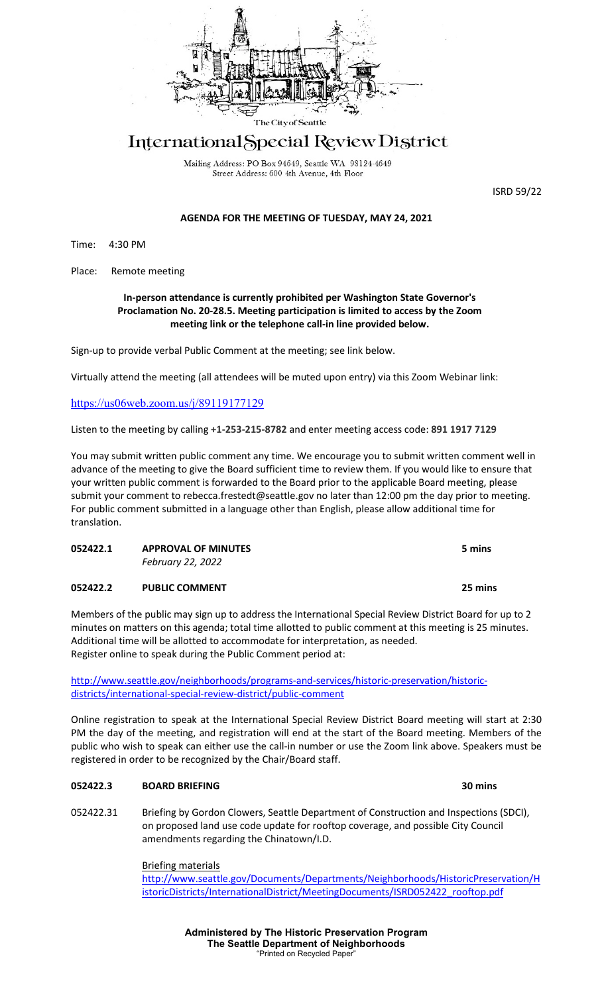

# International Special Review District

Mailing Address: PO Box 94649, Seattle WA 98124-4649 Street Address: 600 4th Avenue, 4th Floor

ISRD 59/22

# **AGENDA FOR THE MEETING OF TUESDAY, MAY 24, 2021**

Time: 4:30 PM

Place: Remote meeting

## **In-person attendance is currently prohibited per Washington State Governor's Proclamation No. 20-28.5. Meeting participation is limited to access by the Zoom meeting link or the telephone call-in line provided below.**

Sign-up to provide verbal Public Comment at the meeting; see link below.

Virtually attend the meeting (all attendees will be muted upon entry) via this Zoom Webinar link:

# <https://us06web.zoom.us/j/89119177129>

Listen to the meeting by calling **+1-253-215-8782** and enter meeting access code: **891 1917 7129**

You may submit written public comment any time. We encourage you to submit written comment well in advance of the meeting to give the Board sufficient time to review them. If you would like to ensure that your written public comment is forwarded to the Board prior to the applicable Board meeting, please submit your comment to rebecca.frestedt@seattle.gov no later than 12:00 pm the day prior to meeting. For public comment submitted in a language other than English, please allow additional time for translation.

| 052422.1 | <b>APPROVAL OF MINUTES</b> | 5 mins |  |
|----------|----------------------------|--------|--|
|          | February 22, 2022          |        |  |
| $\cdots$ | - -                        | $ -$   |  |

**052422.2 PUBLIC COMMENT 25 mins**

Members of the public may sign up to address the International Special Review District Board for up to 2 minutes on matters on this agenda; total time allotted to public comment at this meeting is 25 minutes. Additional time will be allotted to accommodate for interpretation, as needed. Register online to speak during the Public Comment period at:

[http://www.seattle.gov/neighborhoods/programs-and-services/historic-preservation/historic](http://www.seattle.gov/neighborhoods/programs-and-services/historic-preservation/historic-districts/international-special-review-district/public-comment)[districts/international-special-review-district/public-comment](http://www.seattle.gov/neighborhoods/programs-and-services/historic-preservation/historic-districts/international-special-review-district/public-comment)

Online registration to speak at the International Special Review District Board meeting will start at 2:30 PM the day of the meeting, and registration will end at the start of the Board meeting. Members of the public who wish to speak can either use the call-in number or use the Zoom link above. Speakers must be registered in order to be recognized by the Chair/Board staff.

## **052422.3 BOARD BRIEFING 30 mins**

052422.31 Briefing by Gordon Clowers, Seattle Department of Construction and Inspections (SDCI), on proposed land use code update for rooftop coverage, and possible City Council amendments regarding the Chinatown/I.D.

> Briefing materials [http://www.seattle.gov/Documents/Departments/Neighborhoods/HistoricPreservation/H](http://www.seattle.gov/Documents/Departments/Neighborhoods/HistoricPreservation/HistoricDistricts/InternationalDistrict/MeetingDocuments/ISRD052422_rooftop.pdf) [istoricDistricts/InternationalDistrict/MeetingDocuments/ISRD052422\\_rooftop.pdf](http://www.seattle.gov/Documents/Departments/Neighborhoods/HistoricPreservation/HistoricDistricts/InternationalDistrict/MeetingDocuments/ISRD052422_rooftop.pdf)